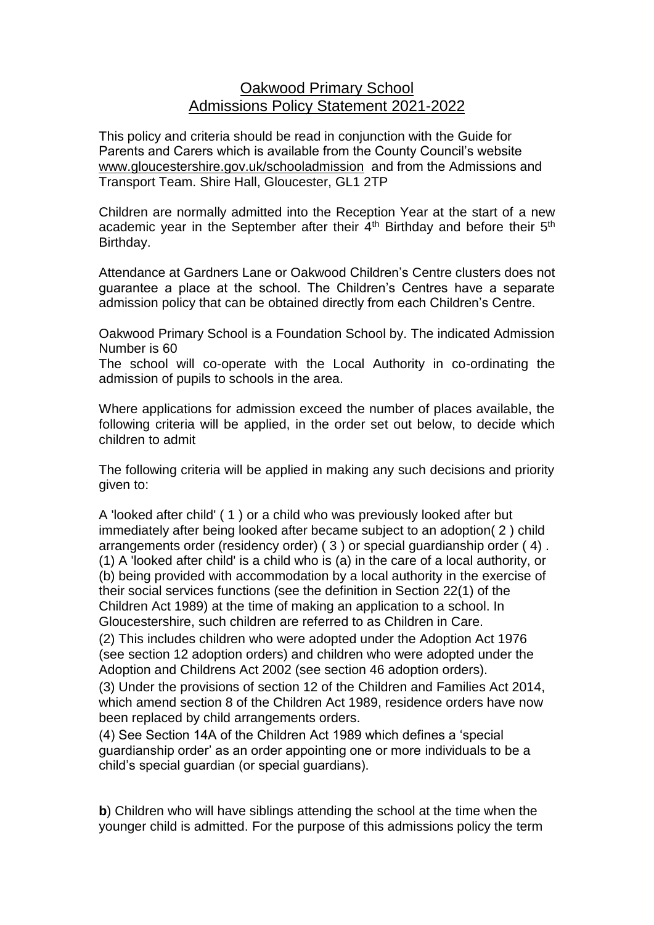# Oakwood Primary School Admissions Policy Statement 2021-2022

This policy and criteria should be read in conjunction with the Guide for Parents and Carers which is available from the County Council's website [www.gloucestershire.gov.uk/schooladmission](http://www.gloucestershire.gov.uk/schooladmission) and from the Admissions and Transport Team. Shire Hall, Gloucester, GL1 2TP

Children are normally admitted into the Reception Year at the start of a new academic year in the September after their  $4<sup>th</sup>$  Birthday and before their  $5<sup>th</sup>$ Birthday.

Attendance at Gardners Lane or Oakwood Children's Centre clusters does not guarantee a place at the school. The Children's Centres have a separate admission policy that can be obtained directly from each Children's Centre.

Oakwood Primary School is a Foundation School by. The indicated Admission Number is 60

The school will co-operate with the Local Authority in co-ordinating the admission of pupils to schools in the area.

Where applications for admission exceed the number of places available, the following criteria will be applied, in the order set out below, to decide which children to admit

The following criteria will be applied in making any such decisions and priority given to:

A 'looked after child' ( 1 ) or a child who was previously looked after but immediately after being looked after became subject to an adoption( 2 ) child arrangements order (residency order) ( 3 ) or special guardianship order ( 4) . (1) A 'looked after child' is a child who is (a) in the care of a local authority, or (b) being provided with accommodation by a local authority in the exercise of their social services functions (see the definition in Section 22(1) of the Children Act 1989) at the time of making an application to a school. In Gloucestershire, such children are referred to as Children in Care.

(2) This includes children who were adopted under the Adoption Act 1976 (see section 12 adoption orders) and children who were adopted under the Adoption and Childrens Act 2002 (see section 46 adoption orders).

(3) Under the provisions of section 12 of the Children and Families Act 2014, which amend section 8 of the Children Act 1989, residence orders have now been replaced by child arrangements orders.

(4) See Section 14A of the Children Act 1989 which defines a 'special guardianship order' as an order appointing one or more individuals to be a child's special guardian (or special guardians).

**b**) Children who will have siblings attending the school at the time when the younger child is admitted. For the purpose of this admissions policy the term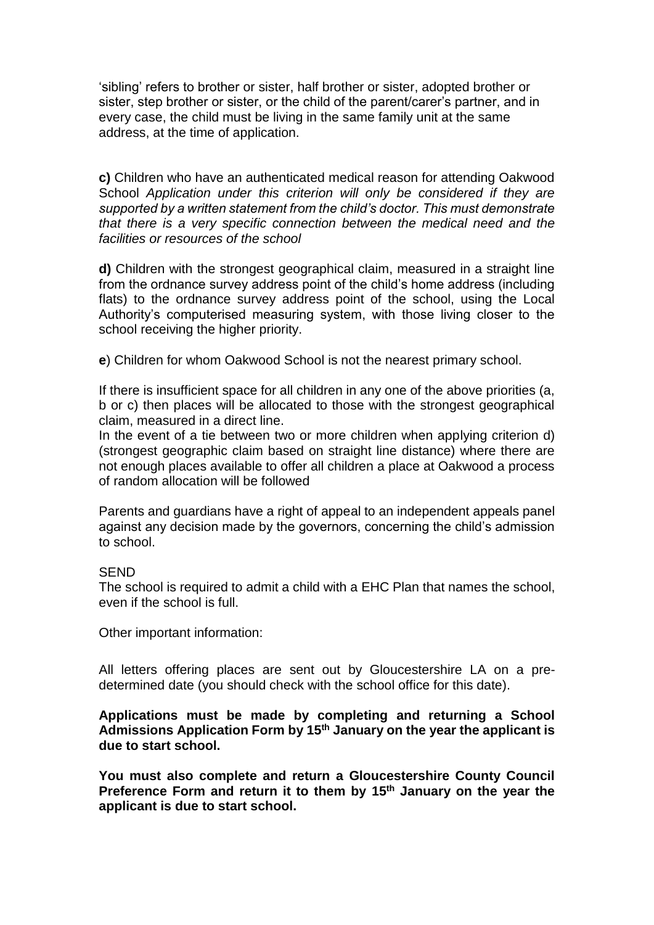'sibling' refers to brother or sister, half brother or sister, adopted brother or sister, step brother or sister, or the child of the parent/carer's partner, and in every case, the child must be living in the same family unit at the same address, at the time of application.

**c)** Children who have an authenticated medical reason for attending Oakwood School *Application under this criterion will only be considered if they are supported by a written statement from the child's doctor. This must demonstrate that there is a very specific connection between the medical need and the facilities or resources of the school* 

**d)** Children with the strongest geographical claim, measured in a straight line from the ordnance survey address point of the child's home address (including flats) to the ordnance survey address point of the school, using the Local Authority's computerised measuring system, with those living closer to the school receiving the higher priority.

**e**) Children for whom Oakwood School is not the nearest primary school.

If there is insufficient space for all children in any one of the above priorities (a, b or c) then places will be allocated to those with the strongest geographical claim, measured in a direct line.

In the event of a tie between two or more children when applying criterion d) (strongest geographic claim based on straight line distance) where there are not enough places available to offer all children a place at Oakwood a process of random allocation will be followed

Parents and guardians have a right of appeal to an independent appeals panel against any decision made by the governors, concerning the child's admission to school.

# **SEND**

The school is required to admit a child with a EHC Plan that names the school, even if the school is full.

Other important information:

All letters offering places are sent out by Gloucestershire LA on a predetermined date (you should check with the school office for this date).

**Applications must be made by completing and returning a School Admissions Application Form by 15th January on the year the applicant is due to start school.** 

**You must also complete and return a Gloucestershire County Council Preference Form and return it to them by 15th January on the year the applicant is due to start school.**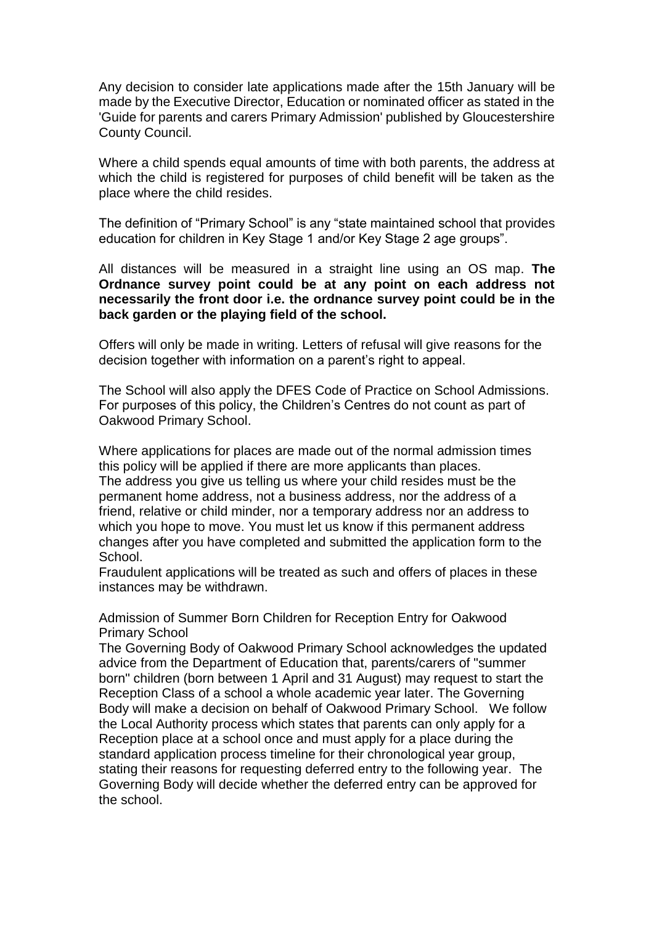Any decision to consider late applications made after the 15th January will be made by the Executive Director, Education or nominated officer as stated in the 'Guide for parents and carers Primary Admission' published by Gloucestershire County Council.

Where a child spends equal amounts of time with both parents, the address at which the child is registered for purposes of child benefit will be taken as the place where the child resides.

The definition of "Primary School" is any "state maintained school that provides education for children in Key Stage 1 and/or Key Stage 2 age groups".

All distances will be measured in a straight line using an OS map. **The Ordnance survey point could be at any point on each address not necessarily the front door i.e. the ordnance survey point could be in the back garden or the playing field of the school.** 

Offers will only be made in writing. Letters of refusal will give reasons for the decision together with information on a parent's right to appeal.

The School will also apply the DFES Code of Practice on School Admissions. For purposes of this policy, the Children's Centres do not count as part of Oakwood Primary School.

Where applications for places are made out of the normal admission times this policy will be applied if there are more applicants than places. The address you give us telling us where your child resides must be the permanent home address, not a business address, nor the address of a friend, relative or child minder, nor a temporary address nor an address to which you hope to move. You must let us know if this permanent address changes after you have completed and submitted the application form to the School.

Fraudulent applications will be treated as such and offers of places in these instances may be withdrawn.

Admission of Summer Born Children for Reception Entry for Oakwood Primary School

The Governing Body of Oakwood Primary School acknowledges the updated advice from the Department of Education that, parents/carers of "summer born" children (born between 1 April and 31 August) may request to start the Reception Class of a school a whole academic year later. The Governing Body will make a decision on behalf of Oakwood Primary School. We follow the Local Authority process which states that parents can only apply for a Reception place at a school once and must apply for a place during the standard application process timeline for their chronological year group, stating their reasons for requesting deferred entry to the following year. The Governing Body will decide whether the deferred entry can be approved for the school.